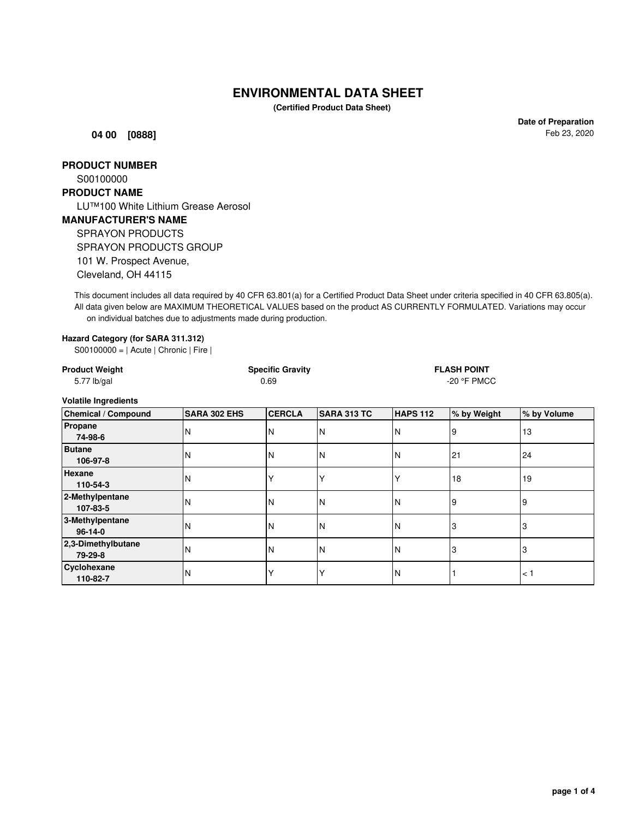# **ENVIRONMENTAL DATA SHEET**

**(Certified Product Data Sheet)**

**04 00 [0888]**

**Date of Preparation** Feb 23, 2020

## **PRODUCT NUMBER**

S00100000

### **PRODUCT NAME**

LU™100 White Lithium Grease Aerosol

## **MANUFACTURER'S NAME**

SPRAYON PRODUCTS SPRAYON PRODUCTS GROUP 101 W. Prospect Avenue, Cleveland, OH 44115

This document includes all data required by 40 CFR 63.801(a) for a Certified Product Data Sheet under criteria specified in 40 CFR 63.805(a). All data given below are MAXIMUM THEORETICAL VALUES based on the product AS CURRENTLY FORMULATED. Variations may occur on individual batches due to adjustments made during production.

#### **Hazard Category (for SARA 311.312)**

S00100000 = | Acute | Chronic | Fire |

| <b>Product Weight</b><br>$5.77$ lb/gal |                     | <b>Specific Gravity</b><br>0.69 |                    |                 | <b>FLASH POINT</b><br>$-20$ °F PMCC |             |
|----------------------------------------|---------------------|---------------------------------|--------------------|-----------------|-------------------------------------|-------------|
| <b>Volatile Ingredients</b>            |                     |                                 |                    |                 |                                     |             |
| <b>Chemical / Compound</b>             | <b>SARA 302 EHS</b> | <b>CERCLA</b>                   | <b>SARA 313 TC</b> | <b>HAPS 112</b> | % by Weight                         | % by Volume |
| Propane<br>74-98-6                     | ΙN                  | ΙN                              | N                  | N               | 9                                   | 13          |
| <b>Butane</b><br>106-97-8              | N                   | ΙN                              | N                  | N               | 21                                  | 24          |
| Hexane<br>110-54-3                     | ΙN                  | Υ                               |                    |                 | 18                                  | 19          |
| 2-Methylpentane<br>107-83-5            | ΙN                  | IN.                             | N                  | N               | 9                                   | 9           |
| 3-Methylpentane<br>$96 - 14 - 0$       | N                   | l N                             | N                  | N               | 3                                   | 3           |
| 2,3-Dimethylbutane<br>79-29-8          | N                   | l N                             | N                  | N               | 3                                   | 3           |
| Cyclohexane<br>110-82-7                | ΙN                  | ıY                              | Υ                  | N               |                                     | < 1         |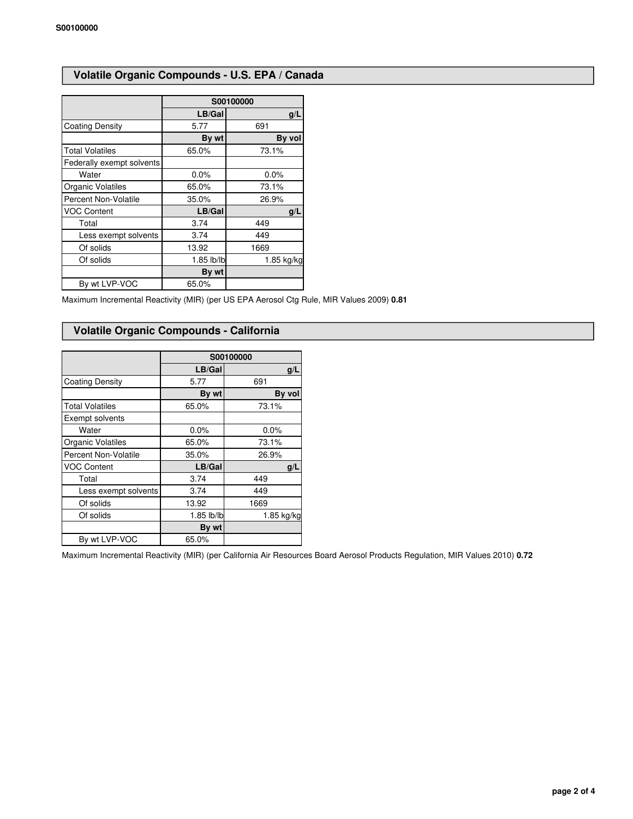# **Volatile Organic Compounds - U.S. EPA / Canada**

|                             | S00100000  |            |
|-----------------------------|------------|------------|
|                             | LB/Gal     | g/L        |
| <b>Coating Density</b>      | 5.77       | 691        |
|                             | By wt      | By vol     |
| <b>Total Volatiles</b>      | 65.0%      | 73.1%      |
| Federally exempt solvents   |            |            |
| Water                       | 0.0%       | 0.0%       |
| Organic Volatiles           | 65.0%      | 73.1%      |
| <b>Percent Non-Volatile</b> | 35.0%      | 26.9%      |
| <b>VOC Content</b>          | LB/Gal     | g/L        |
| Total                       | 3.74       | 449        |
| Less exempt solvents        | 3.74       | 449        |
| Of solids                   | 13.92      | 1669       |
| Of solids                   | 1.85 lb/lb | 1.85 kg/kg |
|                             | By wt      |            |
| By wt LVP-VOC               | 65.0%      |            |

Maximum Incremental Reactivity (MIR) (per US EPA Aerosol Ctg Rule, MIR Values 2009) **0.81**

### **Volatile Organic Compounds - California**

|                        | S00100000  |            |
|------------------------|------------|------------|
|                        | LB/Gal     | q/L        |
| <b>Coating Density</b> | 5.77       | 691        |
|                        | By wt      | By vol     |
| <b>Total Volatiles</b> | 65.0%      | 73.1%      |
| Exempt solvents        |            |            |
| Water                  | 0.0%       | $0.0\%$    |
| Organic Volatiles      | 65.0%      | 73.1%      |
| Percent Non-Volatile   | 35.0%      | 26.9%      |
| <b>VOC Content</b>     | LB/Gal     | g/L        |
| Total                  | 3.74       | 449        |
| Less exempt solvents   | 3.74       | 449        |
| Of solids              | 13.92      | 1669       |
| Of solids              | 1.85 lb/lb | 1.85 kg/kg |
|                        | By wt      |            |
| By wt LVP-VOC          | 65.0%      |            |

Maximum Incremental Reactivity (MIR) (per California Air Resources Board Aerosol Products Regulation, MIR Values 2010) **0.72**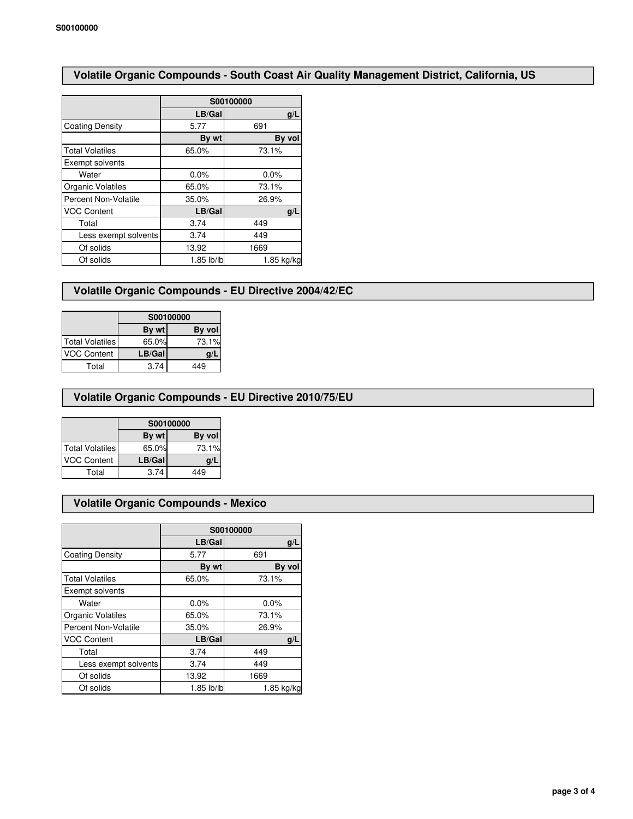# **Volatile Organic Compounds - South Coast Air Quality Management District, California, US**

|                             | S00100000  |            |  |
|-----------------------------|------------|------------|--|
|                             | LB/Gal     | g/L        |  |
| <b>Coating Density</b>      | 5.77       | 691        |  |
|                             | By wt      | By vol     |  |
| <b>Total Volatiles</b>      | 65.0%      | 73.1%      |  |
| Exempt solvents             |            |            |  |
| Water                       | 0.0%       | 0.0%       |  |
| Organic Volatiles           | 65.0%      | 73.1%      |  |
| <b>Percent Non-Volatile</b> | 35.0%      | 26.9%      |  |
| <b>VOC Content</b>          | LB/Gal     | q/L        |  |
| Total                       | 3.74       | 449        |  |
| Less exempt solvents        | 3.74       | 449        |  |
| Of solids                   | 13.92      | 1669       |  |
| Of solids                   | 1.85 lb/lb | 1.85 kg/kg |  |

## **Volatile Organic Compounds - EU Directive 2004/42/EC**

|                        | S00100000 |        |
|------------------------|-----------|--------|
|                        | By wt     | By vol |
| <b>Total Volatiles</b> | 65.0%     | 73.1%  |
| <b>VOC Content</b>     | LB/Gal    |        |
| Total                  | 3.74      | 449    |

## **Volatile Organic Compounds - EU Directive 2010/75/EU**

|                    | S00100000 |        |  |
|--------------------|-----------|--------|--|
|                    | By wt     | By vol |  |
| Total Volatiles    | 65.0%     | 73.1%  |  |
| <b>VOC Content</b> | LB/Gal    | g/l    |  |
| Total              | 3.74      | 449    |  |

### **Volatile Organic Compounds - Mexico**

|                        | S00100000  |            |  |
|------------------------|------------|------------|--|
|                        | LB/Gal     | g/L        |  |
| <b>Coating Density</b> | 5.77       | 691        |  |
|                        | By wt      | By vol     |  |
| <b>Total Volatiles</b> | 65.0%      | 73.1%      |  |
| Exempt solvents        |            |            |  |
| Water                  | 0.0%       | 0.0%       |  |
| Organic Volatiles      | 65.0%      | 73.1%      |  |
| Percent Non-Volatile   | 35.0%      | 26.9%      |  |
| <b>VOC Content</b>     | LB/Gal     | g/L        |  |
| Total                  | 3.74       | 449        |  |
| Less exempt solvents   | 3.74       | 449        |  |
| Of solids              | 13.92      | 1669       |  |
| Of solids              | 1.85 lb/lb | 1.85 kg/kg |  |